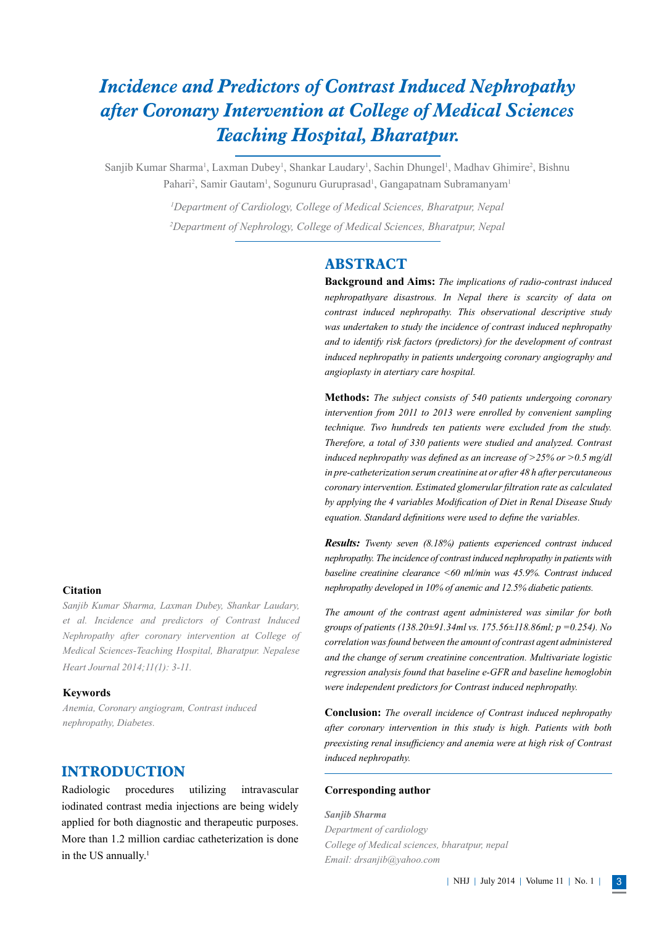# *Incidence and Predictors of Contrast Induced Nephropathy after Coronary Intervention at College of Medical Sciences Teaching Hospital, Bharatpur.*

Sanjib Kumar Sharma<sup>1</sup>, Laxman Dubey<sup>1</sup>, Shankar Laudary<sup>1</sup>, Sachin Dhungel<sup>1</sup>, Madhav Ghimire<sup>2</sup>, Bishnu Pahari<sup>2</sup>, Samir Gautam<sup>1</sup>, Sogunuru Guruprasad<sup>1</sup>, Gangapatnam Subramanyam<sup>1</sup>

> *1 Department of Cardiology, College of Medical Sciences, Bharatpur, Nepal 2 Department of Nephrology, College of Medical Sciences, Bharatpur, Nepal*

# **ABSTRACT**

**Background and Aims:** *The implications of radio-contrast induced nephropathyare disastrous. In Nepal there is scarcity of data on contrast induced nephropathy. This observational descriptive study was undertaken to study the incidence of contrast induced nephropathy and to identify risk factors (predictors) for the development of contrast induced nephropathy in patients undergoing coronary angiography and angioplasty in atertiary care hospital.*

**Methods:** *The subject consists of 540 patients undergoing coronary intervention from 2011 to 2013 were enrolled by convenient sampling technique. Two hundreds ten patients were excluded from the study. Therefore, a total of 330 patients were studied and analyzed. Contrast induced nephropathy was defined as an increase of >25% or >0.5 mg/dl in pre-catheterization serum creatinine at or after 48 h after percutaneous coronary intervention. Estimated glomerular filtration rate as calculated by applying the 4 variables Modification of Diet in Renal Disease Study equation. Standard definitions were used to define the variables.*

*Results: Twenty seven (8.18%) patients experienced contrast induced nephropathy. The incidence of contrast induced nephropathy in patients with baseline creatinine clearance <60 ml/min was 45.9%. Contrast induced nephropathy developed in 10% of anemic and 12.5% diabetic patients.*

*The amount of the contrast agent administered was similar for both groups of patients (138.20±91.34ml vs. 175.56±118.86ml; p =0.254). No correlation was found between the amount of contrast agent administered and the change of serum creatinine concentration. Multivariate logistic regression analysis found that baseline e-GFR and baseline hemoglobin were independent predictors for Contrast induced nephropathy.* 

**Conclusion:** *The overall incidence of Contrast induced nephropathy after coronary intervention in this study is high. Patients with both preexisting renal insufficiency and anemia were at high risk of Contrast induced nephropathy.*

#### **Corresponding author**

*Sanjib Sharma Department of cardiology College of Medical sciences, bharatpur, nepal Email: drsanjib@yahoo.com*

#### **Citation**

*Sanjib Kumar Sharma, Laxman Dubey, Shankar Laudary, et al. Incidence and predictors of Contrast Induced Nephropathy after coronary intervention at College of Medical Sciences-Teaching Hospital, Bharatpur. Nepalese Heart Journal 2014;11(1): 3-11.*

#### **Keywords**

*Anemia, Coronary angiogram, Contrast induced nephropathy, Diabetes.*

# **INTRODUCTION**

Radiologic procedures utilizing intravascular iodinated contrast media injections are being widely applied for both diagnostic and therapeutic purposes. More than 1.2 million cardiac catheterization is done in the US annually.<sup>1</sup>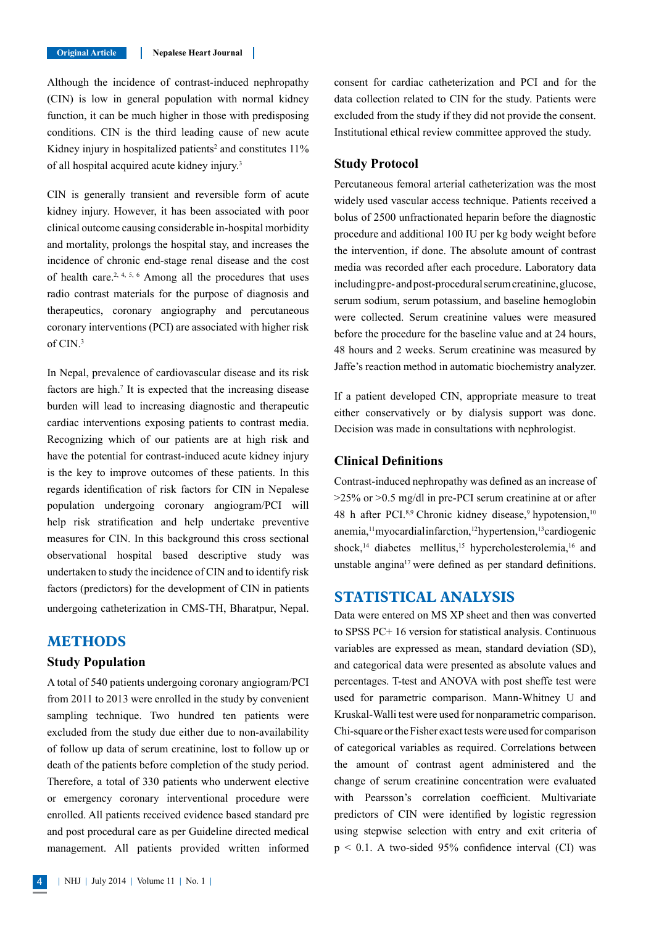Although the incidence of contrast-induced nephropathy (CIN) is low in general population with normal kidney function, it can be much higher in those with predisposing conditions. CIN is the third leading cause of new acute Kidney injury in hospitalized patients<sup>2</sup> and constitutes 11% of all hospital acquired acute kidney injury.3

CIN is generally transient and reversible form of acute kidney injury. However, it has been associated with poor clinical outcome causing considerable in-hospital morbidity and mortality, prolongs the hospital stay, and increases the incidence of chronic end-stage renal disease and the cost of health care.<sup>2, 4, 5, 6</sup> Among all the procedures that uses radio contrast materials for the purpose of diagnosis and therapeutics, coronary angiography and percutaneous coronary interventions (PCI) are associated with higher risk of CIN.<sup>3</sup>

In Nepal, prevalence of cardiovascular disease and its risk factors are high.<sup>7</sup> It is expected that the increasing disease burden will lead to increasing diagnostic and therapeutic cardiac interventions exposing patients to contrast media. Recognizing which of our patients are at high risk and have the potential for contrast-induced acute kidney injury is the key to improve outcomes of these patients. In this regards identification of risk factors for CIN in Nepalese population undergoing coronary angiogram/PCI will help risk stratification and help undertake preventive measures for CIN. In this background this cross sectional observational hospital based descriptive study was undertaken to study the incidence of CIN and to identify risk factors (predictors) for the development of CIN in patients undergoing catheterization in CMS-TH, Bharatpur, Nepal.

# **METHODS**

## **Study Population**

A total of 540 patients undergoing coronary angiogram/PCI from 2011 to 2013 were enrolled in the study by convenient sampling technique. Two hundred ten patients were excluded from the study due either due to non-availability of follow up data of serum creatinine, lost to follow up or death of the patients before completion of the study period. Therefore, a total of 330 patients who underwent elective or emergency coronary interventional procedure were enrolled. All patients received evidence based standard pre and post procedural care as per Guideline directed medical management. All patients provided written informed

consent for cardiac catheterization and PCI and for the data collection related to CIN for the study. Patients were excluded from the study if they did not provide the consent. Institutional ethical review committee approved the study.

## **Study Protocol**

Percutaneous femoral arterial catheterization was the most widely used vascular access technique. Patients received a bolus of 2500 unfractionated heparin before the diagnostic procedure and additional 100 IU per kg body weight before the intervention, if done. The absolute amount of contrast media was recorded after each procedure. Laboratory data including pre- and post-procedural serum creatinine, glucose, serum sodium, serum potassium, and baseline hemoglobin were collected. Serum creatinine values were measured before the procedure for the baseline value and at 24 hours, 48 hours and 2 weeks. Serum creatinine was measured by Jaffe's reaction method in automatic biochemistry analyzer.

If a patient developed CIN, appropriate measure to treat either conservatively or by dialysis support was done. Decision was made in consultations with nephrologist.

## **Clinical Definitions**

Contrast-induced nephropathy was defined as an increase of  $>25\%$  or  $>0.5$  mg/dl in pre-PCI serum creatinine at or after 48 h after PCI. $8.9$  Chronic kidney disease,  $9$  hypotension,  $10$ anemia,<sup>11</sup> myocardial infarction,<sup>12</sup> hypertension,<sup>13</sup> cardiogenic shock,<sup>14</sup> diabetes mellitus,<sup>15</sup> hypercholesterolemia,<sup>16</sup> and unstable angina<sup>17</sup> were defined as per standard definitions.

# **STATISTICAL ANALYSIS**

Data were entered on MS XP sheet and then was converted to SPSS PC+ 16 version for statistical analysis. Continuous variables are expressed as mean, standard deviation (SD), and categorical data were presented as absolute values and percentages. T-test and ANOVA with post sheffe test were used for parametric comparison. Mann-Whitney U and Kruskal-Walli test were used for nonparametric comparison. Chi-square or the Fisher exact tests were used for comparison of categorical variables as required. Correlations between the amount of contrast agent administered and the change of serum creatinine concentration were evaluated with Pearsson's correlation coefficient. Multivariate predictors of CIN were identified by logistic regression using stepwise selection with entry and exit criteria of  $p < 0.1$ . A two-sided 95% confidence interval (CI) was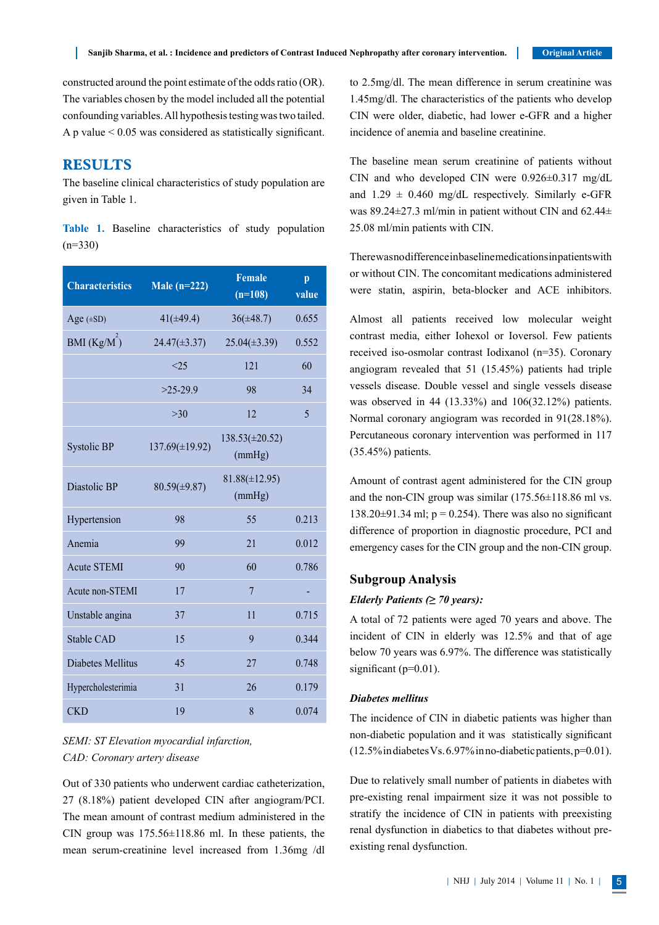constructed around the point estimate of the odds ratio (OR). The variables chosen by the model included all the potential confounding variables. All hypothesis testing was two tailed. A p value < 0.05 was considered as statistically significant.

# **RESULTS**

The baseline clinical characteristics of study population are given in Table 1.

|           |  | <b>Table 1.</b> Baseline characteristics of study population |  |  |
|-----------|--|--------------------------------------------------------------|--|--|
| $(n=330)$ |  |                                                              |  |  |

| <b>Characteristics</b>   | Male $(n=222)$      | <b>Female</b><br>$(n=108)$    | $\mathbf{p}$<br>value |
|--------------------------|---------------------|-------------------------------|-----------------------|
| Age $(\pm SD)$           | $41(\pm 49.4)$      | $36(\pm 48.7)$                | 0.655                 |
| BMI $(Kg/M^2)$           | $24.47(\pm 3.37)$   | $25.04(\pm 3.39)$             | 0.552                 |
|                          | <25                 | 121                           | 60                    |
|                          | $>25-29.9$          | 98                            | 34                    |
|                          | >30                 | 12                            | 5                     |
| <b>Systolic BP</b>       | $137.69(\pm 19.92)$ | $138.53(\pm 20.52)$<br>(mmHg) |                       |
| Diastolic BP             | $80.59(\pm 9.87)$   | $81.88(\pm 12.95)$<br>(mmHg)  |                       |
| Hypertension             | 98                  | 55                            | 0.213                 |
| Anemia                   | 99                  | 21                            | 0.012                 |
| <b>Acute STEMI</b>       | 90                  | 60                            | 0.786                 |
| Acute non-STEMI          | 17                  | 7                             |                       |
| Unstable angina          | 37                  | 11                            | 0.715                 |
| <b>Stable CAD</b>        | 15                  | 9                             | 0.344                 |
| <b>Diabetes Mellitus</b> | 45                  | 27                            | 0.748                 |
| Hypercholesterimia       | 31                  | 26                            | 0.179                 |
| <b>CKD</b>               | 19                  | 8                             | 0.074                 |

# *SEMI: ST Elevation myocardial infarction, CAD: Coronary artery disease*

Out of 330 patients who underwent cardiac catheterization, 27 (8.18%) patient developed CIN after angiogram/PCI. The mean amount of contrast medium administered in the CIN group was  $175.56\pm118.86$  ml. In these patients, the mean serum-creatinine level increased from 1.36mg /dl to 2.5mg/dl. The mean difference in serum creatinine was 1.45mg/dl. The characteristics of the patients who develop CIN were older, diabetic, had lower e-GFR and a higher incidence of anemia and baseline creatinine.

The baseline mean serum creatinine of patients without CIN and who developed CIN were 0.926±0.317 mg/dL and  $1.29 \pm 0.460$  mg/dL respectively. Similarly e-GFR was 89.24±27.3 ml/min in patient without CIN and 62.44± 25.08 ml/min patients with CIN.

There was no difference in baseline medications in patients with or without CIN. The concomitant medications administered were statin, aspirin, beta-blocker and ACE inhibitors.

Almost all patients received low molecular weight contrast media, either Iohexol or Ioversol. Few patients received iso-osmolar contrast Iodixanol (n=35). Coronary angiogram revealed that 51 (15.45%) patients had triple vessels disease. Double vessel and single vessels disease was observed in 44 (13.33%) and 106(32.12%) patients. Normal coronary angiogram was recorded in 91(28.18%). Percutaneous coronary intervention was performed in 117 (35.45%) patients.

Amount of contrast agent administered for the CIN group and the non-CIN group was similar (175.56±118.86 ml vs. 138.20 $\pm$ 91.34 ml; p = 0.254). There was also no significant difference of proportion in diagnostic procedure, PCI and emergency cases for the CIN group and the non-CIN group.

#### **Subgroup Analysis**

#### *Elderly Patients (≥ 70 years):*

A total of 72 patients were aged 70 years and above. The incident of CIN in elderly was 12.5% and that of age below 70 years was 6.97%. The difference was statistically significant (p=0.01).

#### *Diabetes mellitus*

The incidence of CIN in diabetic patients was higher than non-diabetic population and it was statistically significant (12.5% in diabetes Vs. 6.97% in no-diabetic patients, p=0.01).

Due to relatively small number of patients in diabetes with pre-existing renal impairment size it was not possible to stratify the incidence of CIN in patients with preexisting renal dysfunction in diabetics to that diabetes without preexisting renal dysfunction.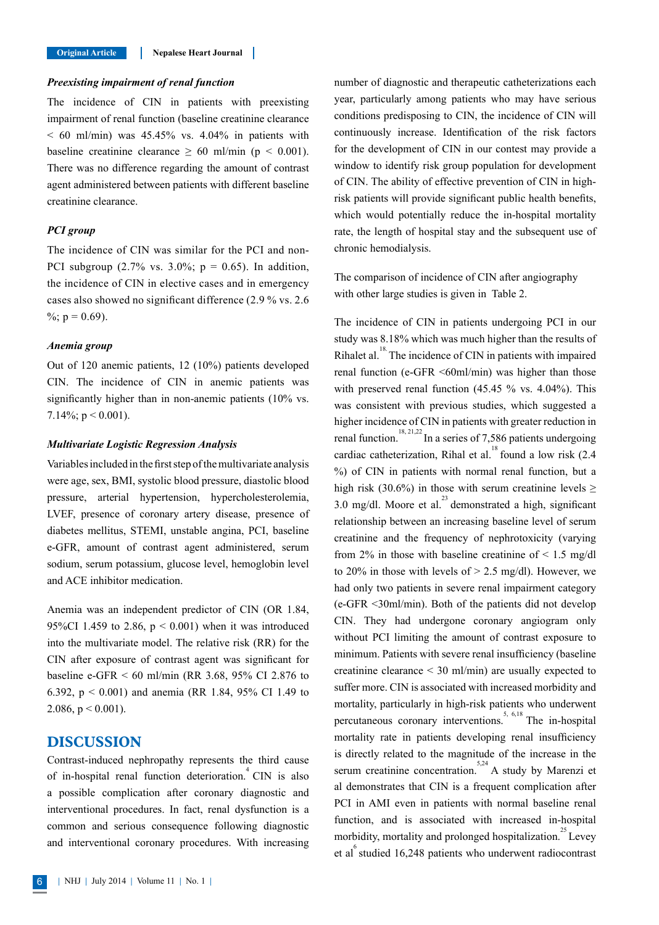### *Preexisting impairment of renal function*

The incidence of CIN in patients with preexisting impairment of renal function (baseline creatinine clearance  $< 60$  ml/min) was 45.45% vs. 4.04% in patients with baseline creatinine clearance  $\geq 60$  ml/min ( $p \leq 0.001$ ). There was no difference regarding the amount of contrast agent administered between patients with different baseline creatinine clearance.

#### *PCI group*

The incidence of CIN was similar for the PCI and non-PCI subgroup  $(2.7\% \text{ vs. } 3.0\%; \text{ p} = 0.65)$ . In addition, the incidence of CIN in elective cases and in emergency cases also showed no significant difference (2.9 % vs. 2.6  $\%$ ; p = 0.69).

#### *Anemia group*

Out of 120 anemic patients, 12 (10%) patients developed CIN. The incidence of CIN in anemic patients was significantly higher than in non-anemic patients (10% vs. 7.14%;  $p < 0.001$ ).

#### *Multivariate Logistic Regression Analysis*

Variables included in the first step of the multivariate analysis were age, sex, BMI, systolic blood pressure, diastolic blood pressure, arterial hypertension, hypercholesterolemia, LVEF, presence of coronary artery disease, presence of diabetes mellitus, STEMI, unstable angina, PCI, baseline e-GFR, amount of contrast agent administered, serum sodium, serum potassium, glucose level, hemoglobin level and ACE inhibitor medication.

Anemia was an independent predictor of CIN (OR 1.84, 95%CI 1.459 to 2.86,  $p < 0.001$ ) when it was introduced into the multivariate model. The relative risk (RR) for the CIN after exposure of contrast agent was significant for baseline e-GFR < 60 ml/min (RR 3.68, 95% CI 2.876 to 6.392, p < 0.001) and anemia (RR 1.84, 95% CI 1.49 to 2.086,  $p < 0.001$ ).

# **DISCUSSION**

Contrast-induced nephropathy represents the third cause of in-hospital renal function deterioration.<sup>4</sup> CIN is also a possible complication after coronary diagnostic and interventional procedures. In fact, renal dysfunction is a common and serious consequence following diagnostic and interventional coronary procedures. With increasing

number of diagnostic and therapeutic catheterizations each year, particularly among patients who may have serious conditions predisposing to CIN, the incidence of CIN will continuously increase. Identification of the risk factors for the development of CIN in our contest may provide a window to identify risk group population for development of CIN. The ability of effective prevention of CIN in highrisk patients will provide significant public health benefits, which would potentially reduce the in-hospital mortality rate, the length of hospital stay and the subsequent use of chronic hemodialysis.

The comparison of incidence of CIN after angiography with other large studies is given in Table 2.

The incidence of CIN in patients undergoing PCI in our study was 8.18% which was much higher than the results of Rihalet al.<sup>18.</sup> The incidence of CIN in patients with impaired renal function (e-GFR <60ml/min) was higher than those with preserved renal function  $(45.45 \% \text{ vs. } 4.04\%)$ . This was consistent with previous studies, which suggested a higher incidence of CIN in patients with greater reduction in renal function.<sup>18, 21, 22</sup> In a series of 7,586 patients undergoing cardiac catheterization, Rihal et al.<sup>18</sup> found a low risk  $(2.4)$ %) of CIN in patients with normal renal function, but a high risk (30.6%) in those with serum creatinine levels  $\geq$  $3.0 \text{ mg/dl}$ . Moore et al.<sup>23</sup> demonstrated a high, significant relationship between an increasing baseline level of serum creatinine and the frequency of nephrotoxicity (varying from 2% in those with baseline creatinine of  $\leq$  1.5 mg/dl to 20% in those with levels of  $> 2.5$  mg/dl). However, we had only two patients in severe renal impairment category (e-GFR <30ml/min). Both of the patients did not develop CIN. They had undergone coronary angiogram only without PCI limiting the amount of contrast exposure to minimum. Patients with severe renal insufficiency (baseline creatinine clearance < 30 ml/min) are usually expected to suffer more. CIN is associated with increased morbidity and mortality, particularly in high-risk patients who underwent percutaneous coronary interventions.<sup>5, 6,18</sup> The in-hospital mortality rate in patients developing renal insufficiency is directly related to the magnitude of the increase in the serum creatinine concentration.<sup>5,24</sup> A study by Marenzi et al demonstrates that CIN is a frequent complication after PCI in AMI even in patients with normal baseline renal function, and is associated with increased in-hospital morbidity, mortality and prolonged hospitalization.<sup>25</sup> Levey et al<sup>6</sup> studied 16,248 patients who underwent radiocontrast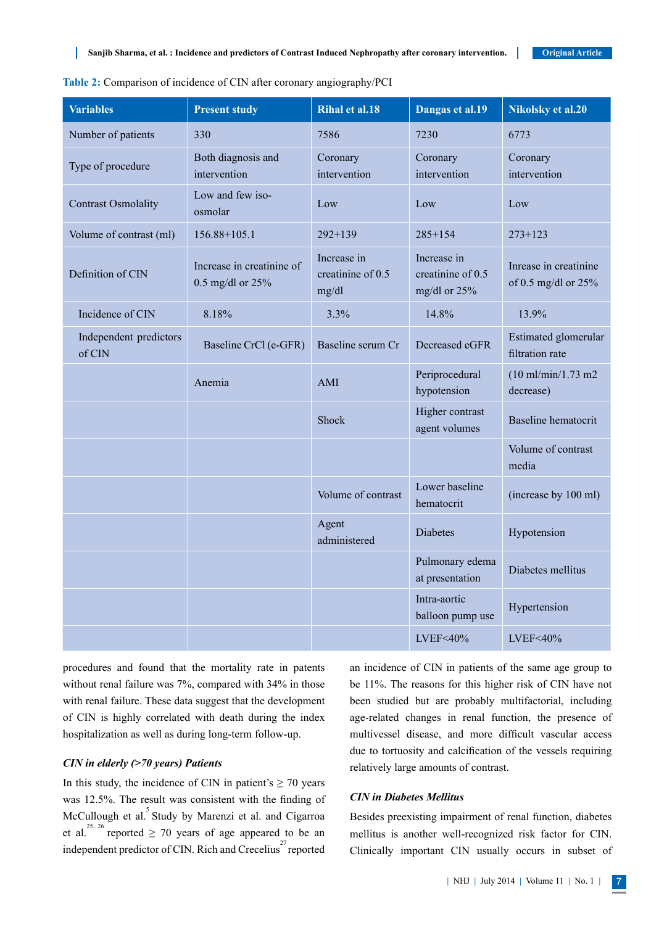| <b>Variables</b>                 | <b>Present study</b>                          | <b>Rihal et al.18</b>                     | Dangas et al.19                                  | Nikolsky et al.20                                  |
|----------------------------------|-----------------------------------------------|-------------------------------------------|--------------------------------------------------|----------------------------------------------------|
| Number of patients               | 330                                           | 7586                                      | 7230                                             | 6773                                               |
| Type of procedure                | Both diagnosis and<br>intervention            | Coronary<br>intervention                  | Coronary<br>intervention                         | Coronary<br>intervention                           |
| <b>Contrast Osmolality</b>       | Low and few iso-<br>osmolar                   | Low                                       | Low                                              | Low                                                |
| Volume of contrast (ml)          | 156.88+105.1                                  | $292+139$                                 | $285+154$                                        | $273 + 123$                                        |
| Definition of CIN                | Increase in creatinine of<br>0.5 mg/dl or 25% | Increase in<br>creatinine of 0.5<br>mg/dl | Increase in<br>creatinine of 0.5<br>mg/dl or 25% | Inrease in creatinine<br>of 0.5 mg/dl or $25%$     |
| Incidence of CIN                 | 8.18%                                         | 3.3%                                      | 14.8%                                            | 13.9%                                              |
| Independent predictors<br>of CIN | Baseline CrCl (e-GFR)                         | Baseline serum Cr                         | Decreased eGFR                                   | Estimated glomerular<br>filtration rate            |
|                                  | Anemia                                        | <b>AMI</b>                                | Periprocedural<br>hypotension                    | $(10 \text{ ml/min}/1.73 \text{ m2})$<br>decrease) |
|                                  |                                               | Shock                                     | Higher contrast<br>agent volumes                 | <b>Baseline</b> hematocrit                         |
|                                  |                                               |                                           |                                                  | Volume of contrast<br>media                        |
|                                  |                                               | Volume of contrast                        | Lower baseline<br>hematocrit                     | (increase by 100 ml)                               |
|                                  |                                               | Agent<br>administered                     | <b>Diabetes</b>                                  | Hypotension                                        |
|                                  |                                               |                                           | Pulmonary edema<br>at presentation               | Diabetes mellitus                                  |
|                                  |                                               |                                           | Intra-aortic<br>balloon pump use                 | Hypertension                                       |
|                                  |                                               |                                           | LVEF<40%                                         | LVEF<40%                                           |

**Table 2:** Comparison of incidence of CIN after coronary angiography/PCI

procedures and found that the mortality rate in patents without renal failure was 7%, compared with 34% in those with renal failure. These data suggest that the development of CIN is highly correlated with death during the index hospitalization as well as during long-term follow-up.

#### *CIN in elderly (>70 years) Patients*

In this study, the incidence of CIN in patient's  $\geq$  70 years was 12.5%. The result was consistent with the finding of McCullough et al.<sup>5</sup> Study by Marenzi et al. and Cigarroa et al.<sup>25, 26</sup> reported  $\geq$  70 years of age appeared to be an independent predictor of CIN. Rich and Crecelius<sup>27</sup> reported an incidence of CIN in patients of the same age group to be 11%. The reasons for this higher risk of CIN have not been studied but are probably multifactorial, including age-related changes in renal function, the presence of multivessel disease, and more difficult vascular access due to tortuosity and calcification of the vessels requiring relatively large amounts of contrast.

## *CIN in Diabetes Mellitus*

Besides preexisting impairment of renal function, diabetes mellitus is another well-recognized risk factor for CIN. Clinically important CIN usually occurs in subset of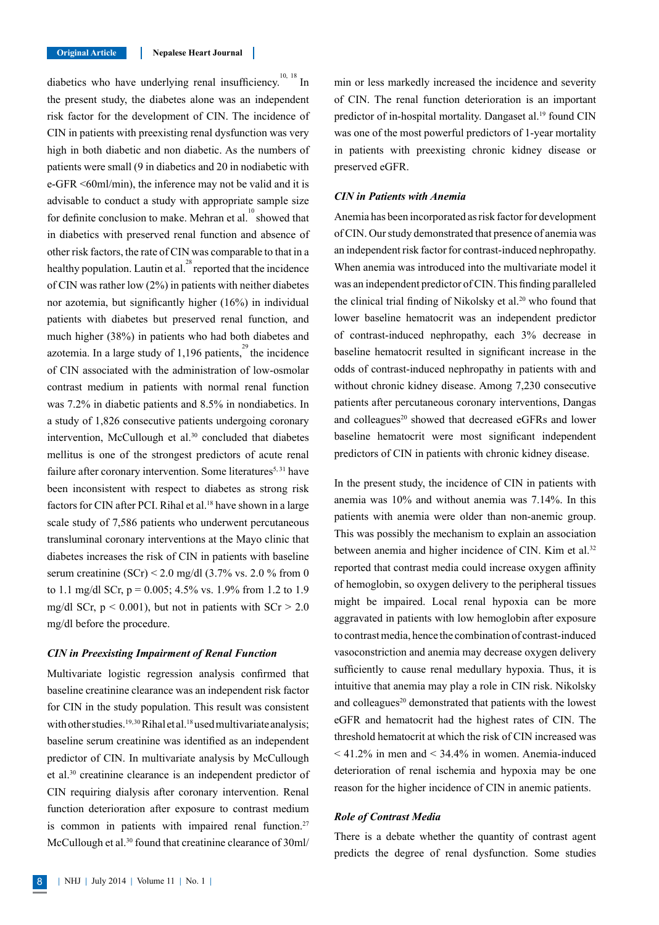diabetics who have underlying renal insufficiency.<sup>10, 18</sup> In the present study, the diabetes alone was an independent risk factor for the development of CIN. The incidence of CIN in patients with preexisting renal dysfunction was very high in both diabetic and non diabetic. As the numbers of patients were small (9 in diabetics and 20 in nodiabetic with e-GFR <60ml/min), the inference may not be valid and it is advisable to conduct a study with appropriate sample size for definite conclusion to make. Mehran et al. $\frac{10}{10}$  showed that in diabetics with preserved renal function and absence of other risk factors, the rate of CIN was comparable to that in a healthy population. Lautin et al.<sup>28</sup> reported that the incidence of CIN was rather low (2%) in patients with neither diabetes nor azotemia, but significantly higher (16%) in individual patients with diabetes but preserved renal function, and much higher (38%) in patients who had both diabetes and azotemia. In a large study of 1,196 patients, $\frac{29}{3}$  the incidence of CIN associated with the administration of low-osmolar contrast medium in patients with normal renal function was 7.2% in diabetic patients and 8.5% in nondiabetics. In a study of 1,826 consecutive patients undergoing coronary intervention, McCullough et al.<sup>30</sup> concluded that diabetes mellitus is one of the strongest predictors of acute renal failure after coronary intervention. Some literatures<sup>5, 31</sup> have been inconsistent with respect to diabetes as strong risk factors for CIN after PCI. Rihal et al.<sup>18</sup> have shown in a large scale study of 7,586 patients who underwent percutaneous transluminal coronary interventions at the Mayo clinic that diabetes increases the risk of CIN in patients with baseline serum creatinine (SCr) < 2.0 mg/dl (3.7% vs. 2.0 % from 0 to 1.1 mg/dl SCr, p = 0.005; 4.5% vs. 1.9% from 1.2 to 1.9 mg/dl SCr,  $p < 0.001$ ), but not in patients with SCr  $> 2.0$ mg/dl before the procedure.

#### *CIN in Preexisting Impairment of Renal Function*

Multivariate logistic regression analysis confirmed that baseline creatinine clearance was an independent risk factor for CIN in the study population. This result was consistent with other studies.<sup>19, 30</sup> Rihal et al.<sup>18</sup> used multivariate analysis; baseline serum creatinine was identified as an independent predictor of CIN. In multivariate analysis by McCullough et al.30 creatinine clearance is an independent predictor of CIN requiring dialysis after coronary intervention. Renal function deterioration after exposure to contrast medium is common in patients with impaired renal function.<sup>27</sup> McCullough et al.<sup>30</sup> found that creatinine clearance of 30ml/

min or less markedly increased the incidence and severity of CIN. The renal function deterioration is an important predictor of in-hospital mortality. Dangaset al.<sup>19</sup> found CIN was one of the most powerful predictors of 1-year mortality in patients with preexisting chronic kidney disease or preserved eGFR.

#### *CIN in Patients with Anemia*

Anemia has been incorporated as risk factor for development of CIN. Our study demonstrated that presence of anemia was an independent risk factor for contrast-induced nephropathy. When anemia was introduced into the multivariate model it was an independent predictor of CIN. This finding paralleled the clinical trial finding of Nikolsky et al.<sup>20</sup> who found that lower baseline hematocrit was an independent predictor of contrast-induced nephropathy, each 3% decrease in baseline hematocrit resulted in significant increase in the odds of contrast-induced nephropathy in patients with and without chronic kidney disease. Among 7,230 consecutive patients after percutaneous coronary interventions, Dangas and colleagues<sup>20</sup> showed that decreased eGFRs and lower baseline hematocrit were most significant independent predictors of CIN in patients with chronic kidney disease.

In the present study, the incidence of CIN in patients with anemia was 10% and without anemia was 7.14%. In this patients with anemia were older than non-anemic group. This was possibly the mechanism to explain an association between anemia and higher incidence of CIN. Kim et al.<sup>32</sup> reported that contrast media could increase oxygen affinity of hemoglobin, so oxygen delivery to the peripheral tissues might be impaired. Local renal hypoxia can be more aggravated in patients with low hemoglobin after exposure to contrast media, hence the combination of contrast-induced vasoconstriction and anemia may decrease oxygen delivery sufficiently to cause renal medullary hypoxia. Thus, it is intuitive that anemia may play a role in CIN risk. Nikolsky and colleagues<sup>20</sup> demonstrated that patients with the lowest eGFR and hematocrit had the highest rates of CIN. The threshold hematocrit at which the risk of CIN increased was < 41.2% in men and < 34.4% in women. Anemia-induced deterioration of renal ischemia and hypoxia may be one reason for the higher incidence of CIN in anemic patients.

#### *Role of Contrast Media*

There is a debate whether the quantity of contrast agent predicts the degree of renal dysfunction. Some studies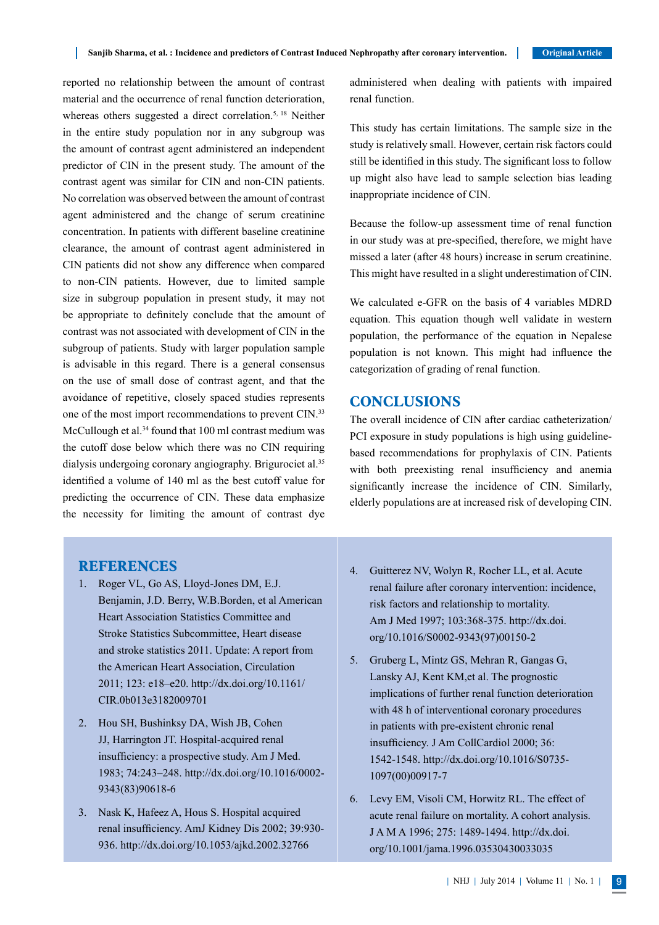reported no relationship between the amount of contrast material and the occurrence of renal function deterioration, whereas others suggested a direct correlation.<sup>5, 18</sup> Neither in the entire study population nor in any subgroup was the amount of contrast agent administered an independent predictor of CIN in the present study. The amount of the contrast agent was similar for CIN and non-CIN patients. No correlation was observed between the amount of contrast agent administered and the change of serum creatinine concentration. In patients with different baseline creatinine clearance, the amount of contrast agent administered in CIN patients did not show any difference when compared to non-CIN patients. However, due to limited sample size in subgroup population in present study, it may not be appropriate to definitely conclude that the amount of contrast was not associated with development of CIN in the subgroup of patients. Study with larger population sample is advisable in this regard. There is a general consensus on the use of small dose of contrast agent, and that the avoidance of repetitive, closely spaced studies represents one of the most import recommendations to prevent CIN.33 McCullough et al.<sup>34</sup> found that 100 ml contrast medium was the cutoff dose below which there was no CIN requiring dialysis undergoing coronary angiography. Brigurociet al.<sup>35</sup> identified a volume of 140 ml as the best cutoff value for predicting the occurrence of CIN. These data emphasize the necessity for limiting the amount of contrast dye

# administered when dealing with patients with impaired renal function.

This study has certain limitations. The sample size in the study is relatively small. However, certain risk factors could still be identified in this study. The significant loss to follow up might also have lead to sample selection bias leading inappropriate incidence of CIN.

Because the follow-up assessment time of renal function in our study was at pre-specified, therefore, we might have missed a later (after 48 hours) increase in serum creatinine. This might have resulted in a slight underestimation of CIN.

We calculated e-GFR on the basis of 4 variables MDRD equation. This equation though well validate in western population, the performance of the equation in Nepalese population is not known. This might had influence the categorization of grading of renal function.

# **CONCLUSIONS**

The overall incidence of CIN after cardiac catheterization/ PCI exposure in study populations is high using guidelinebased recommendations for prophylaxis of CIN. Patients with both preexisting renal insufficiency and anemia significantly increase the incidence of CIN. Similarly, elderly populations are at increased risk of developing CIN.

# **REFERENCES**

- 1. Roger VL, Go AS, Lloyd-Jones DM, E.J. Benjamin, J.D. Berry, W.B.Borden, et al American Heart Association Statistics Committee and Stroke Statistics Subcommittee, Heart disease and stroke statistics 2011. Update: A report from the American Heart Association, Circulation 2011; 123: e18–e20. http://dx.doi.org/10.1161/ CIR.0b013e3182009701
- 2. Hou SH, Bushinksy DA, Wish JB, Cohen JJ, Harrington JT. Hospital-acquired renal insufficiency: a prospective study. Am J Med. 1983; 74:243–248. http://dx.doi.org/10.1016/0002- 9343(83)90618-6
- 3. Nask K, Hafeez A, Hous S. Hospital acquired renal insufficiency. AmJ Kidney Dis 2002; 39:930- 936. http://dx.doi.org/10.1053/ajkd.2002.32766
- 4. Guitterez NV, Wolyn R, Rocher LL, et al. Acute renal failure after coronary intervention: incidence, risk factors and relationship to mortality. Am J Med 1997; 103:368-375. http://dx.doi. org/10.1016/S0002-9343(97)00150-2
- 5. Gruberg L, Mintz GS, Mehran R, Gangas G, Lansky AJ, Kent KM,et al. The prognostic implications of further renal function deterioration with 48 h of interventional coronary procedures in patients with pre-existent chronic renal insufficiency. J Am CollCardiol 2000; 36: 1542-1548. http://dx.doi.org/10.1016/S0735- 1097(00)00917-7
- 6. Levy EM, Visoli CM, Horwitz RL. The effect of acute renal failure on mortality. A cohort analysis. J A M A 1996; 275: 1489-1494. http://dx.doi. org/10.1001/jama.1996.03530430033035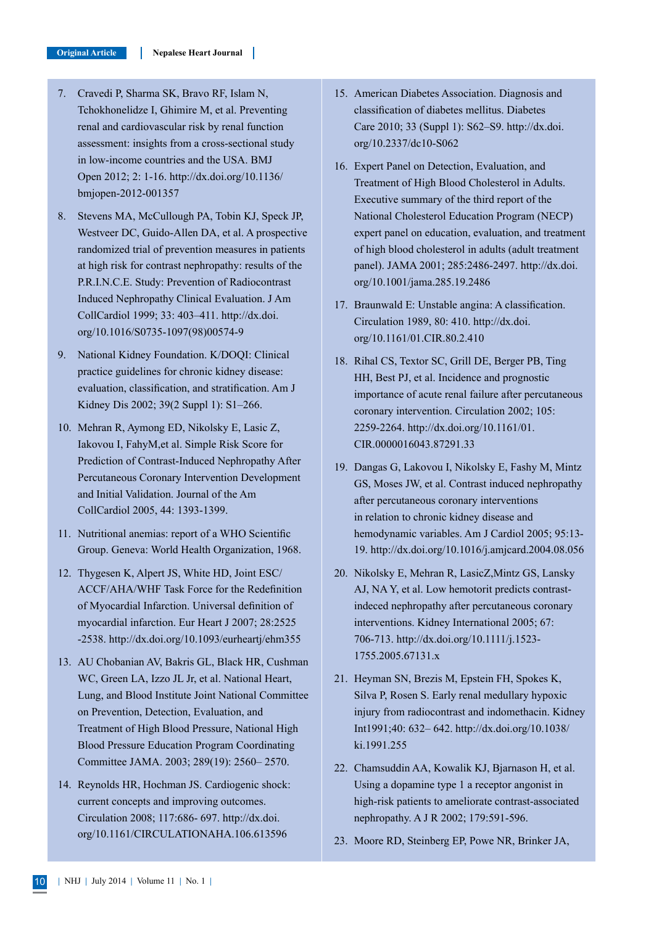- 7. Cravedi P, Sharma SK, Bravo RF, Islam N, Tchokhonelidze I, Ghimire M, et al. Preventing renal and cardiovascular risk by renal function assessment: insights from a cross-sectional study in low-income countries and the USA. BMJ Open 2012; 2: 1-16. http://dx.doi.org/10.1136/ bmjopen-2012-001357
- 8. Stevens MA, McCullough PA, Tobin KJ, Speck JP, Westveer DC, Guido-Allen DA, et al. A prospective randomized trial of prevention measures in patients at high risk for contrast nephropathy: results of the P.R.I.N.C.E. Study: Prevention of Radiocontrast Induced Nephropathy Clinical Evaluation. J Am CollCardiol 1999; 33: 403–411. http://dx.doi. org/10.1016/S0735-1097(98)00574-9
- 9. National Kidney Foundation. K/DOQI: Clinical practice guidelines for chronic kidney disease: evaluation, classification, and stratification. Am J Kidney Dis 2002; 39(2 Suppl 1): S1–266.
- 10. Mehran R, Aymong ED, Nikolsky E, Lasic Z, Iakovou I, FahyM,et al. Simple Risk Score for Prediction of Contrast-Induced Nephropathy After Percutaneous Coronary Intervention Development and Initial Validation. Journal of the Am CollCardiol 2005, 44: 1393-1399.
- 11. Nutritional anemias: report of a WHO Scientific Group. Geneva: World Health Organization, 1968.
- 12. Thygesen K, Alpert JS, White HD, Joint ESC/ ACCF/AHA/WHF Task Force for the Redefinition of Myocardial Infarction. Universal definition of myocardial infarction. Eur Heart J 2007; 28:2525 -2538. http://dx.doi.org/10.1093/eurheartj/ehm355
- 13. AU Chobanian AV, Bakris GL, Black HR, Cushman WC, Green LA, Izzo JL Jr, et al. National Heart, Lung, and Blood Institute Joint National Committee on Prevention, Detection, Evaluation, and Treatment of High Blood Pressure, National High Blood Pressure Education Program Coordinating Committee JAMA. 2003; 289(19): 2560– 2570.
- 14. Reynolds HR, Hochman JS. Cardiogenic shock: current concepts and improving outcomes. Circulation 2008; 117:686- 697. http://dx.doi. org/10.1161/CIRCULATIONAHA.106.613596
- 15. American Diabetes Association. Diagnosis and classification of diabetes mellitus. Diabetes Care 2010; 33 (Suppl 1): S62–S9. http://dx.doi. org/10.2337/dc10-S062
- 16. Expert Panel on Detection, Evaluation, and Treatment of High Blood Cholesterol in Adults. Executive summary of the third report of the National Cholesterol Education Program (NECP) expert panel on education, evaluation, and treatment of high blood cholesterol in adults (adult treatment panel). JAMA 2001; 285:2486-2497. http://dx.doi. org/10.1001/jama.285.19.2486
- 17. Braunwald E: Unstable angina: A classification. Circulation 1989, 80: 410. http://dx.doi. org/10.1161/01.CIR.80.2.410
- 18. Rihal CS, Textor SC, Grill DE, Berger PB, Ting HH, Best PJ, et al. Incidence and prognostic importance of acute renal failure after percutaneous coronary intervention. Circulation 2002; 105: 2259-2264. http://dx.doi.org/10.1161/01. CIR.0000016043.87291.33
- 19. Dangas G, Lakovou I, Nikolsky E, Fashy M, Mintz GS, Moses JW, et al. Contrast induced nephropathy after percutaneous coronary interventions in relation to chronic kidney disease and hemodynamic variables. Am J Cardiol 2005; 95:13- 19. http://dx.doi.org/10.1016/j.amjcard.2004.08.056
- 20. Nikolsky E, Mehran R, LasicZ,Mintz GS, Lansky AJ, NA Y, et al. Low hemotorit predicts contrastindeced nephropathy after percutaneous coronary interventions. Kidney International 2005; 67: 706-713. http://dx.doi.org/10.1111/j.1523- 1755.2005.67131.x
- 21. Heyman SN, Brezis M, Epstein FH, Spokes K, Silva P, Rosen S. Early renal medullary hypoxic injury from radiocontrast and indomethacin. Kidney Int1991;40: 632– 642. http://dx.doi.org/10.1038/ ki.1991.255
- 22. Chamsuddin AA, Kowalik KJ, Bjarnason H, et al. Using a dopamine type 1 a receptor angonist in high-risk patients to ameliorate contrast-associated nephropathy. A J R 2002; 179:591-596.
- 23. Moore RD, Steinberg EP, Powe NR, Brinker JA,